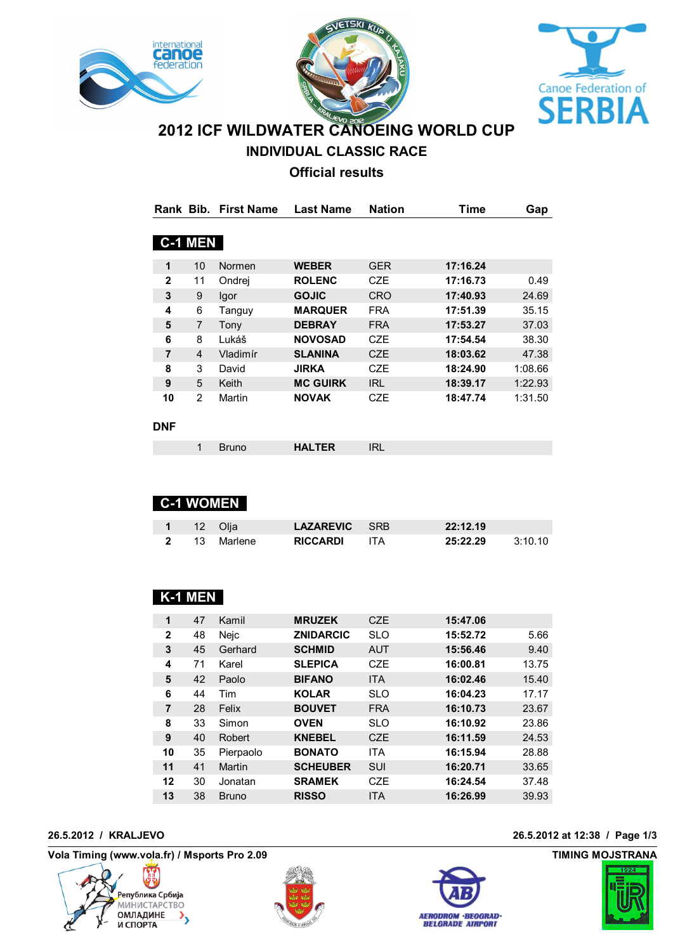





**INDIVIDUAL CLASSIC RACE**

# **Official results**

|                |                | Rank Bib. First Name | <b>Last Name</b> | <b>Nation</b> | <b>Time</b> | Gap     |
|----------------|----------------|----------------------|------------------|---------------|-------------|---------|
|                |                |                      |                  |               |             |         |
|                | <b>C-1 MEN</b> |                      |                  |               |             |         |
|                |                |                      |                  |               |             |         |
| $\mathbf 1$    | 10             | Normen               | <b>WEBER</b>     | <b>GER</b>    | 17:16.24    |         |
| $\mathbf{2}$   | 11             | Ondrej               | <b>ROLENC</b>    | CZE           | 17:16.73    | 0.49    |
| 3              | 9              | Igor                 | <b>GOJIC</b>     | <b>CRO</b>    | 17:40.93    | 24.69   |
| 4              | 6              | Tanguy               | <b>MARQUER</b>   | <b>FRA</b>    | 17:51.39    | 35.15   |
| 5              | 7              | Tony                 | <b>DEBRAY</b>    | <b>FRA</b>    | 17:53.27    | 37.03   |
| 6              | 8              | Lukáš                | <b>NOVOSAD</b>   | <b>CZE</b>    | 17:54.54    | 38.30   |
| $\overline{7}$ | 4              | Vladimír             | <b>SLANINA</b>   | <b>CZE</b>    | 18:03.62    | 47.38   |
| 8              | 3              | David                | JIRKA            | <b>CZE</b>    | 18:24.90    | 1:08.66 |
| 9              | 5              | Keith                | <b>MC GUIRK</b>  | <b>IRL</b>    | 18:39.17    | 1:22.93 |
| 10             | $\overline{2}$ | Martin               | <b>NOVAK</b>     | <b>CZE</b>    | 18:47.74    | 1:31.50 |
|                |                |                      |                  |               |             |         |
| DNF            |                |                      |                  |               |             |         |
|                | 1              | <b>Bruno</b>         | <b>HALTER</b>    | <b>IRL</b>    |             |         |

|              |    | <b>C-1 WOMEN</b> |                      |      |          |         |
|--------------|----|------------------|----------------------|------|----------|---------|
|              |    | 12 Olja          | <b>LAZAREVIC</b> SRB |      | 22:12.19 |         |
| $\mathbf{2}$ | 13 | Marlene          | <b>RICCARDI</b>      | ITA. | 25:22.29 | 3:10.10 |

## **K-1 MEN**

| 1            | 47 | Kamil        | <b>MRUZEK</b>    | <b>CZE</b>       | 15:47.06 |       |
|--------------|----|--------------|------------------|------------------|----------|-------|
| $\mathbf{2}$ | 48 | Nejc         | <b>ZNIDARCIC</b> | <b>SLO</b>       | 15:52.72 | 5.66  |
| 3            | 45 | Gerhard      | <b>SCHMID</b>    | <b>AUT</b>       | 15:56.46 | 9.40  |
| 4            | 71 | Karel        | <b>SLEPICA</b>   | C <sub>7</sub> F | 16:00.81 | 13.75 |
| 5            | 42 | Paolo        | <b>BIFANO</b>    | <b>ITA</b>       | 16:02.46 | 15.40 |
| 6            | 44 | Tim          | <b>KOLAR</b>     | <b>SLO</b>       | 16:04.23 | 17.17 |
| 7            | 28 | Felix        | <b>BOUVET</b>    | <b>FRA</b>       | 16:10.73 | 23.67 |
| 8            | 33 | Simon        | <b>OVEN</b>      | <b>SLO</b>       | 16:10.92 | 23.86 |
| 9            | 40 | Robert       | <b>KNEBEL</b>    | <b>CZE</b>       | 16:11.59 | 24.53 |
| 10           | 35 | Pierpaolo    | <b>BONATO</b>    | <b>ITA</b>       | 16:15.94 | 28.88 |
| 11           | 41 | Martin       | <b>SCHEUBER</b>  | <b>SUI</b>       | 16:20.71 | 33.65 |
| 12           | 30 | Jonatan      | <b>SRAMEK</b>    | C <sub>7</sub> F | 16:24.54 | 37.48 |
| 13           | 38 | <b>Bruno</b> | <b>RISSO</b>     | <b>ITA</b>       | 16:26.99 | 39.93 |
|              |    |              |                  |                  |          |       |

Vola Timing (www.vola.fr) / Msports Pro 2.09 **by a strategies of the COVID-100 COVID-100 COVID-100 COVID-100 COVID-100 COVID-100 COVID-100 COVID-100 COVID-100 COVID-100 COVID-100 COVID-100 COVID-100 COVID-100 COVID-100 COV** 







### **26.5.2012 / KRALJEVO 26.5.2012 at 12:38 / Page 1/3**

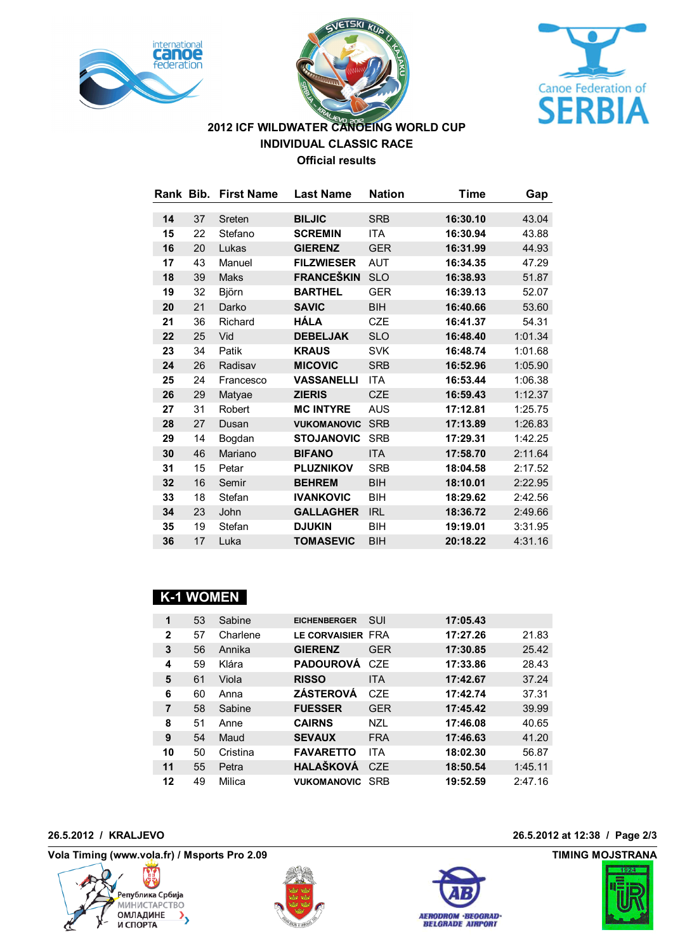





# **2012 ICF WILDWATER CANOEING WORLD CUP INDIVIDUAL CLASSIC RACE Official results**

|    |    | Rank Bib. First Name | <b>Last Name</b>   | <b>Nation</b> | Time     | Gap     |
|----|----|----------------------|--------------------|---------------|----------|---------|
| 14 | 37 | Sreten               | <b>BILJIC</b>      | <b>SRB</b>    | 16:30.10 |         |
|    |    |                      |                    |               |          | 43.04   |
| 15 | 22 | Stefano              | <b>SCREMIN</b>     | <b>ITA</b>    | 16:30.94 | 43.88   |
| 16 | 20 | Lukas                | <b>GIERENZ</b>     | <b>GER</b>    | 16:31.99 | 44.93   |
| 17 | 43 | Manuel               | <b>FILZWIESER</b>  | <b>AUT</b>    | 16:34.35 | 47.29   |
| 18 | 39 | Maks                 | <b>FRANCEŠKIN</b>  | <b>SLO</b>    | 16:38.93 | 51.87   |
| 19 | 32 | Björn                | <b>BARTHEL</b>     | <b>GER</b>    | 16:39.13 | 52.07   |
| 20 | 21 | Darko                | <b>SAVIC</b>       | <b>BIH</b>    | 16:40.66 | 53.60   |
| 21 | 36 | Richard              | HÁLA               | <b>CZE</b>    | 16:41.37 | 54.31   |
| 22 | 25 | Vid                  | <b>DEBELJAK</b>    | <b>SLO</b>    | 16:48.40 | 1:01.34 |
| 23 | 34 | Patik                | <b>KRAUS</b>       | <b>SVK</b>    | 16:48.74 | 1:01.68 |
| 24 | 26 | Radisav              | <b>MICOVIC</b>     | <b>SRB</b>    | 16:52.96 | 1:05.90 |
| 25 | 24 | Francesco            | <b>VASSANELLI</b>  | <b>ITA</b>    | 16:53.44 | 1:06.38 |
| 26 | 29 | Matyae               | <b>ZIERIS</b>      | <b>CZE</b>    | 16:59.43 | 1:12.37 |
| 27 | 31 | Robert               | <b>MC INTYRE</b>   | <b>AUS</b>    | 17:12.81 | 1:25.75 |
| 28 | 27 | Dusan                | <b>VUKOMANOVIC</b> | <b>SRB</b>    | 17:13.89 | 1:26.83 |
| 29 | 14 | Bogdan               | <b>STOJANOVIC</b>  | <b>SRB</b>    | 17:29.31 | 1:42.25 |
| 30 | 46 | Mariano              | <b>BIFANO</b>      | <b>ITA</b>    | 17:58.70 | 2:11.64 |
| 31 | 15 | Petar                | <b>PLUZNIKOV</b>   | <b>SRB</b>    | 18:04.58 | 2:17.52 |
| 32 | 16 | Semir                | <b>BEHREM</b>      | <b>BIH</b>    | 18:10.01 | 2:22.95 |
| 33 | 18 | Stefan               | <b>IVANKOVIC</b>   | BIH           | 18:29.62 | 2:42.56 |
| 34 | 23 | John                 | <b>GALLAGHER</b>   | <b>IRL</b>    | 18:36.72 | 2:49.66 |
| 35 | 19 | Stefan               | <b>DJUKIN</b>      | BIH           | 19:19.01 | 3:31.95 |
| 36 | 17 | Luka                 | <b>TOMASEVIC</b>   | <b>BIH</b>    | 20:18.22 | 4:31.16 |

## **K-1 WOMEN**

| 1              | 53 | Sabine   | <b>EICHENBERGER</b> | SUI              | 17:05.43 |         |
|----------------|----|----------|---------------------|------------------|----------|---------|
| $\mathbf{2}$   | 57 | Charlene | LE CORVAISIER FRA   |                  | 17:27.26 | 21.83   |
| 3              | 56 | Annika   | <b>GIERENZ</b>      | GFR              | 17:30.85 | 25.42   |
| 4              | 59 | Klára    | <b>PADOUROVÁ</b>    | C <sub>7</sub> F | 17:33.86 | 28.43   |
| 5              | 61 | Viola    | <b>RISSO</b>        | <b>ITA</b>       | 17:42.67 | 37.24   |
| 6              | 60 | Anna     | <b>ZÁSTEROVÁ</b>    | C <sub>7</sub> F | 17:42.74 | 37.31   |
| $\overline{7}$ | 58 | Sabine   | <b>FUESSER</b>      | <b>GER</b>       | 17:45.42 | 39.99   |
| 8              | 51 | Anne     | <b>CAIRNS</b>       | <b>NZL</b>       | 17:46.08 | 40.65   |
| 9              | 54 | Maud     | <b>SEVAUX</b>       | <b>FRA</b>       | 17:46.63 | 41.20   |
| 10             | 50 | Cristina | <b>FAVARETTO</b>    | <b>ITA</b>       | 18:02.30 | 56.87   |
| 11             | 55 | Petra    | <b>HALAŠKOVÁ</b>    | C <sub>7</sub> F | 18:50.54 | 1:45.11 |
| 12             | 49 | Milica   | <b>VUKOMANOVIC</b>  | SRB              | 19:52.59 | 2:47.16 |

Vola Timing (www.vola.fr) / Msports Pro 2.09 **by a strategies of the COVID-100 COVID-100 COVID-100 COVID-100 COVID-100 COVID-100 COVID-100 COVID-100 COVID-100 COVID-100 COVID-100 COVID-100 COVID-100 COVID-100 COVID-100 COV**